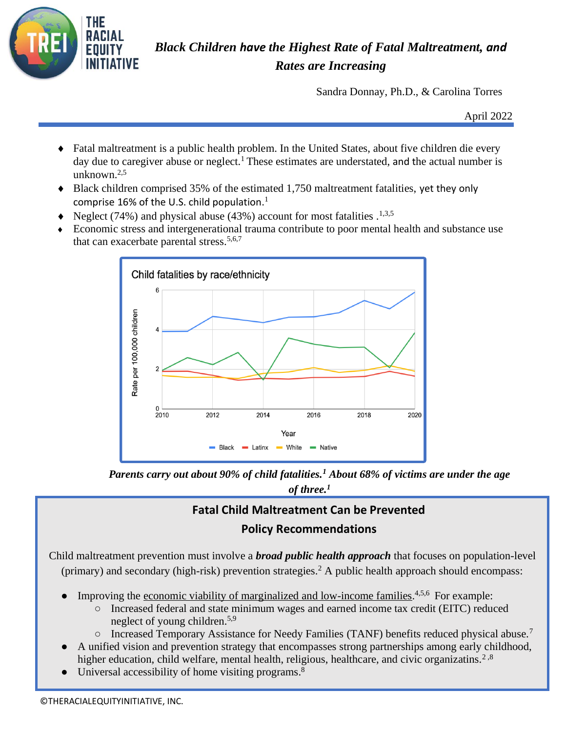

## *Black Children have the Highest Rate of Fatal Maltreatment, and Rates are Increasing*

Sandra Donnay, Ph.D., & Carolina Torres

April 2022

- Fatal maltreatment is a public health problem. In the United States, about five children die every day due to caregiver abuse or neglect.<sup>1</sup> These estimates are understated, and the actual number is unknown.2,5
- Black children comprised 35% of the estimated 1,750 maltreatment fatalities, yet they only comprise 16% of the U.S. child population. $<sup>1</sup>$ </sup>
- $\blacklozenge$  Neglect (74%) and physical abuse (43%) account for most fatalities .<sup>1,3,5</sup>
- Economic stress and intergenerational trauma contribute to poor mental health and substance use that can exacerbate parental stress. $5,6,7$



*Parents carry out about 90% of child fatalities.<sup>1</sup> About 68% of victims are under the age of three.<sup>1</sup>*

## **Fatal Child Maltreatment Can be Prevented Policy Recommendations**

Child maltreatment prevention must involve a *broad public health approach* that focuses on population-level (primary) and secondary (high-risk) prevention strategies.<sup>2</sup> A public health approach should encompass:

- Improving the <u>economic viability [of marginalized and low-income families.](https://centerforhealthjournalism.org/2019/04/19/want-reduce-child-neglect-give-poor-families-money)</u><sup>4,5,6</sup> For example:
	- Increased federal and state minimum wages and earned income tax credit (EITC) reduced neglect of young children.5,9
	- Increased Temporary Assistance for Needy Families (TANF) benefits reduced physical abuse.<sup>7</sup>
- A unified vision and prevention strategy that encompasses strong partnerships among early childhood, higher education, child welfare, mental health, religious, healthcare, and civic organizatins.<sup>2,8</sup>
- Universal accessibility of home visiting programs.<sup>8</sup>